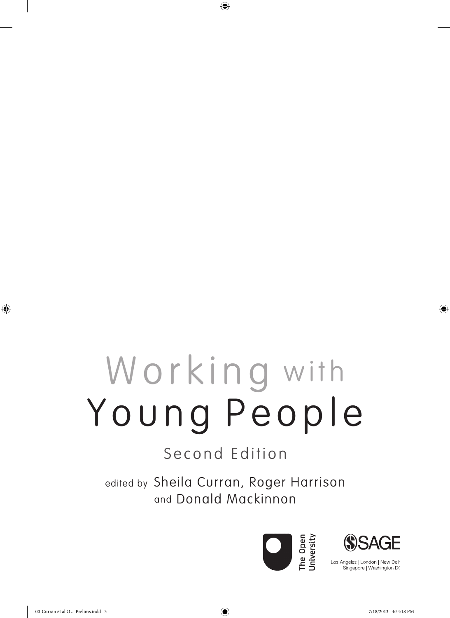# Working with Young People

 $\bigoplus$ 

## Second Edition

edited by Sheila Curran, Roger Harrison and Donald Mackinnon



 $\bigoplus$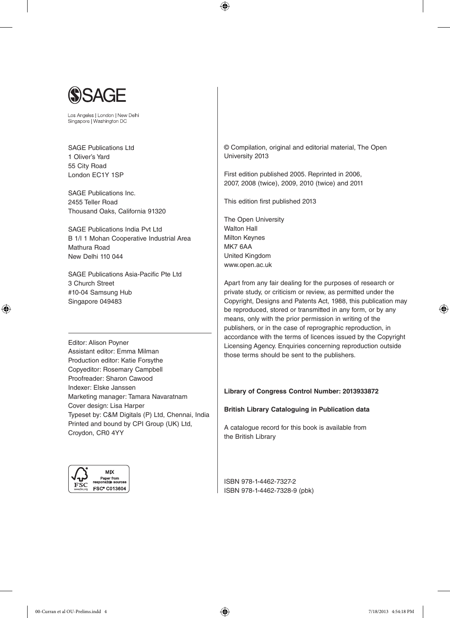

Los Angeles | London | New Delhi Singapore | Washington DC

SAGE Publications Ltd 1 Oliver's Yard 55 City Road London EC1Y 1SP

SAGE Publications Inc. 2455 Teller Road Thousand Oaks, California 91320

SAGE Publications India Pvt Ltd B 1/I 1 Mohan Cooperative Industrial Area Mathura Road New Delhi 110 044

SAGE Publications Asia-Pacific Pte Ltd 3 Church Street #10-04 Samsung Hub Singapore 049483

Editor: Alison Poyner Assistant editor: Emma Milman Production editor: Katie Forsythe Copyeditor: Rosemary Campbell Proofreader: Sharon Cawood Indexer: Elske Janssen Marketing manager: Tamara Navaratnam Cover design: Lisa Harper Typeset by: C&M Digitals (P) Ltd, Chennai, India Printed and bound by CPI Group (UK) Ltd, Croydon, CR0 4YY



© Compilation, original and editorial material, The Open University 2013

First edition published 2005. Reprinted in 2006, 2007, 2008 (twice), 2009, 2010 (twice) and 2011

This edition first published 2013

The Open University Walton Hall Milton Keynes MK7 6AA United Kingdom www.open.ac.uk

 $\bigoplus$ 

Apart from any fair dealing for the purposes of research or private study, or criticism or review, as permitted under the Copyright, Designs and Patents Act, 1988, this publication may be reproduced, stored or transmitted in any form, or by any means, only with the prior permission in writing of the publishers, or in the case of reprographic reproduction, in accordance with the terms of licences issued by the Copyright Licensing Agency. Enquiries concerning reproduction outside those terms should be sent to the publishers.

#### **Library of Congress Control Number: 2013933872**

#### **British Library Cataloguing in Publication data**

A catalogue record for this book is available from the British Library

ISBN 978-1-4462-7327-2 ISBN 978-1-4462-7328-9 (pbk)



⊕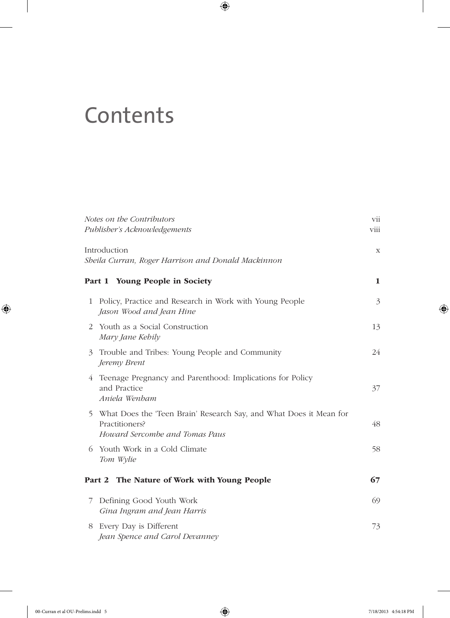## **Contents**

| Notes on the Contributors |                                                                                                                          | vii          |
|---------------------------|--------------------------------------------------------------------------------------------------------------------------|--------------|
|                           | Publisher's Acknowledgements                                                                                             | viii         |
|                           | Introduction<br>Sheila Curran, Roger Harrison and Donald Mackinnon                                                       | $\mathbf X$  |
|                           | Part 1 Young People in Society                                                                                           | $\mathbf{1}$ |
| $\mathbf{1}$              | Policy, Practice and Research in Work with Young People<br>Jason Wood and Jean Hine                                      | 3            |
|                           | 2 Youth as a Social Construction<br>Mary Jane Kehily                                                                     | 13           |
| 3                         | Trouble and Tribes: Young People and Community<br>Jeremy Brent                                                           | 24           |
| 4                         | Teenage Pregnancy and Parenthood: Implications for Policy<br>and Practice<br>Aniela Wenham                               | 37           |
|                           | 5 What Does the 'Teen Brain' Research Say, and What Does it Mean for<br>Practitioners?<br>Howard Sercombe and Tomas Paus | 48           |
|                           | 6 Youth Work in a Cold Climate<br>Tom Wylie                                                                              | 58           |
|                           | Part 2 The Nature of Work with Young People                                                                              | 67           |
| 7                         | Defining Good Youth Work<br>Gina Ingram and Jean Harris                                                                  | 69           |
| 8                         | Every Day is Different<br>Jean Spence and Carol Devanney                                                                 | 73           |

 $\bigoplus$ 

Copyright, Designs and Patents Act, 1988, this publication may be reproduced, stored or transmitted in any form, or by any

 $\bigoplus$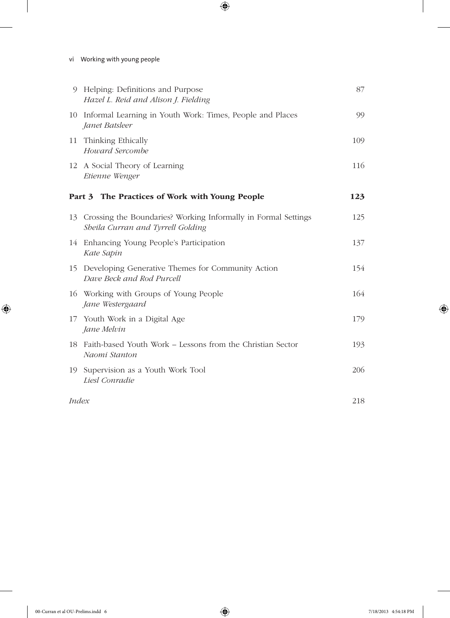#### **vi** Working with young people

 $\overline{\phantom{a}}$ 

 $\bigoplus$ 

|    | 9 Helping: Definitions and Purpose<br>Hazel L. Reid and Alison J. Fielding                             | 87             |
|----|--------------------------------------------------------------------------------------------------------|----------------|
|    | 10 Informal Learning in Youth Work: Times, People and Places<br>Janet Batsleer                         | O <sub>O</sub> |
|    | 11 Thinking Ethically<br>Howard Sercombe                                                               | 109            |
|    | 12 A Social Theory of Learning<br>Etienne Wenger                                                       | 116            |
|    | Part 3 The Practices of Work with Young People                                                         | 123            |
|    | 13 Crossing the Boundaries? Working Informally in Formal Settings<br>Sheila Curran and Tyrrell Golding | 125            |
|    | 14 Enhancing Young People's Participation<br>Kate Sapin                                                | 137            |
|    | 15 Developing Generative Themes for Community Action<br>Dave Beck and Rod Purcell                      | 154            |
|    | 16 Working with Groups of Young People<br>Jane Westergaard                                             | 164            |
|    | 17 Youth Work in a Digital Age<br>Jane Melvin                                                          | 179            |
|    | 18 Faith-based Youth Work – Lessons from the Christian Sector<br>Naomi Stanton                         | 193            |
| 19 | Supervision as a Youth Work Tool<br>Liesl Conradie                                                     | 206            |
|    | <i>Index</i>                                                                                           |                |

 $\bigoplus$ 

I

 $\bigoplus$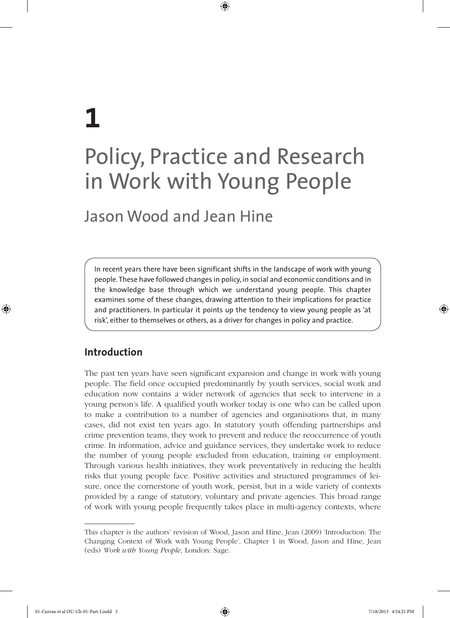## **1** Policy, Practice and Research in Work with Young People

 $\textcircled{\scriptsize{*}}$ 

### Jason Wood and Jean Hine

In recent years there have been significant shifts in the landscape of work with young people. These have followed changes in policy, in social and economic conditions and in the knowledge base through which we understand young people. This chapter examines some of these changes, drawing attention to their implications for practice and practitioners. In particular it points up the tendency to view young people as 'at risk', either to themselves or others, as a driver for changes in policy and practice.

#### **Introduction**

♠

The past ten years have seen significant expansion and change in work with young people. The field once occupied predominantly by youth services, social work and education now contains a wider network of agencies that seek to intervene in a young person's life. A qualified youth worker today is one who can be called upon to make a contribution to a number of agencies and organisations that, in many cases, did not exist ten years ago. In statutory youth offending partnerships and crime prevention teams, they work to prevent and reduce the reoccurrence of youth crime. In information, advice and guidance services, they undertake work to reduce the number of young people excluded from education, training or employment. Through various health initiatives, they work preventatively in reducing the health risks that young people face. Positive activities and structured programmes of leisure, once the cornerstone of youth work, persist, but in a wide variety of contexts provided by a range of statutory, voluntary and private agencies. This broad range of work with young people frequently takes place in multi-agency contexts, where

01-Curran et al OU-Ch-01-Part-Lindd 3 7/18/2013 4:54:21 PM

This chapter is the authors' revision of Wood, Jason and Hine, Jean (2009) 'Introduction: The Changing Context of Work with Young People', Chapter 1 in Wood, Jason and Hine, Jean (eds) *Work with Young People*, London: Sage.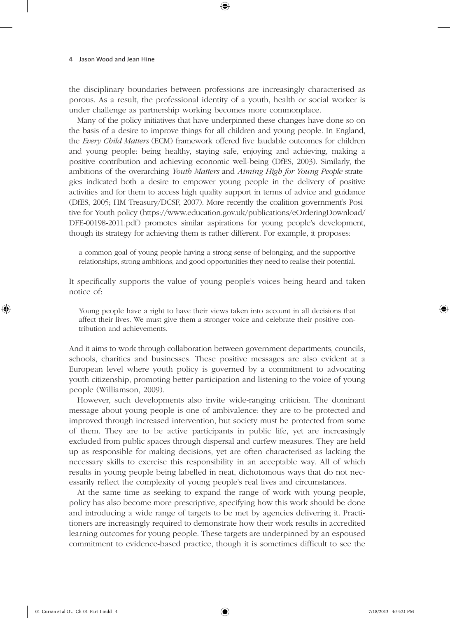the disciplinary boundaries between professions are increasingly characterised as porous. As a result, the professional identity of a youth, health or social worker is under challenge as partnership working becomes more commonplace.

⊕

Many of the policy initiatives that have underpinned these changes have done so on the basis of a desire to improve things for all children and young people. In England, the *Every Child Matters* (ECM) framework offered five laudable outcomes for children and young people: being healthy, staying safe, enjoying and achieving, making a positive contribution and achieving economic well-being (DfES, 2003). Similarly, the ambitions of the overarching *Youth Matters* and *Aiming High for Young People* strategies indicated both a desire to empower young people in the delivery of positive activities and for them to access high quality support in terms of advice and guidance (DfES, 2005; HM Treasury/DCSF, 2007). More recently the coalition government's Positive for Youth policy (https://www.education.gov.uk/publications/eOrderingDownload/ DFE-00198-2011.pdf) promotes similar aspirations for young people's development, though its strategy for achieving them is rather different. For example, it proposes:

a common goal of young people having a strong sense of belonging, and the supportive relationships, strong ambitions, and good opportunities they need to realise their potential.

It specifically supports the value of young people's voices being heard and taken notice of:

Young people have a right to have their views taken into account in all decisions that affect their lives. We must give them a stronger voice and celebrate their positive contribution and achievements.

And it aims to work through collaboration between government departments, councils, schools, charities and businesses. These positive messages are also evident at a European level where youth policy is governed by a commitment to advocating youth citizenship, promoting better participation and listening to the voice of young people (Williamson, 2009).

However, such developments also invite wide-ranging criticism. The dominant message about young people is one of ambivalence: they are to be protected and improved through increased intervention, but society must be protected from some of them. They are to be active participants in public life, yet are increasingly excluded from public spaces through dispersal and curfew measures. They are held up as responsible for making decisions, yet are often characterised as lacking the necessary skills to exercise this responsibility in an acceptable way. All of which results in young people being labelled in neat, dichotomous ways that do not necessarily reflect the complexity of young people's real lives and circumstances.

At the same time as seeking to expand the range of work with young people, policy has also become more prescriptive, specifying how this work should be done and introducing a wide range of targets to be met by agencies delivering it. Practitioners are increasingly required to demonstrate how their work results in accredited learning outcomes for young people. These targets are underpinned by an espoused commitment to evidence-based practice, though it is sometimes difficult to see the

♠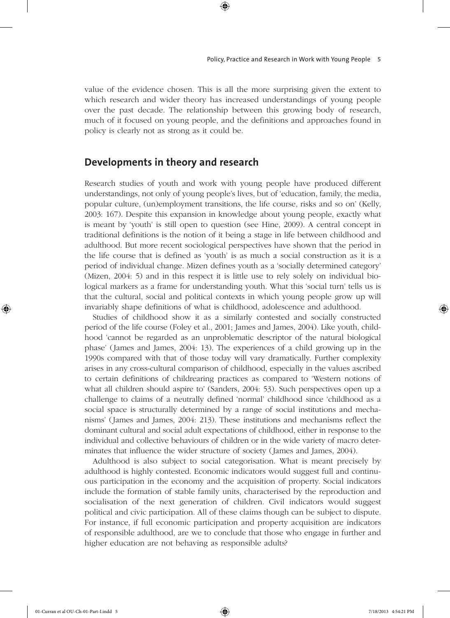value of the evidence chosen. This is all the more surprising given the extent to which research and wider theory has increased understandings of young people over the past decade. The relationship between this growing body of research, much of it focused on young people, and the definitions and approaches found in policy is clearly not as strong as it could be.

 $\textcircled{\scriptsize{*}}$ 

#### **Developments in theory and research**

Research studies of youth and work with young people have produced different understandings, not only of young people's lives, but of 'education, family, the media, popular culture, (un)employment transitions, the life course, risks and so on' (Kelly, 2003: 167). Despite this expansion in knowledge about young people, exactly what is meant by 'youth' is still open to question (see Hine, 2009). A central concept in traditional definitions is the notion of it being a stage in life between childhood and adulthood. But more recent sociological perspectives have shown that the period in the life course that is defined as 'youth' is as much a social construction as it is a period of individual change. Mizen defines youth as a 'socially determined category' (Mizen, 2004: 5) and in this respect it is little use to rely solely on individual biological markers as a frame for understanding youth. What this 'social turn' tells us is that the cultural, social and political contexts in which young people grow up will invariably shape definitions of what is childhood, adolescence and adulthood.

Studies of childhood show it as a similarly contested and socially constructed period of the life course (Foley et al., 2001; James and James, 2004). Like youth, childhood 'cannot be regarded as an unproblematic descriptor of the natural biological phase' (James and James, 2004: 13). The experiences of a child growing up in the 1990s compared with that of those today will vary dramatically. Further complexity arises in any cross-cultural comparison of childhood, especially in the values ascribed to certain definitions of childrearing practices as compared to 'Western notions of what all children should aspire to' (Sanders, 2004: 53). Such perspectives open up a challenge to claims of a neutrally defined 'normal' childhood since 'childhood as a social space is structurally determined by a range of social institutions and mechanisms' (James and James, 2004: 213). These institutions and mechanisms reflect the dominant cultural and social adult expectations of childhood, either in response to the individual and collective behaviours of children or in the wide variety of macro determinates that influence the wider structure of society (James and James, 2004).

Adulthood is also subject to social categorisation. What is meant precisely by adulthood is highly contested. Economic indicators would suggest full and continuous participation in the economy and the acquisition of property. Social indicators include the formation of stable family units, characterised by the reproduction and socialisation of the next generation of children. Civil indicators would suggest political and civic participation. All of these claims though can be subject to dispute. For instance, if full economic participation and property acquisition are indicators of responsible adulthood, are we to conclude that those who engage in further and higher education are not behaving as responsible adults?

♠

♠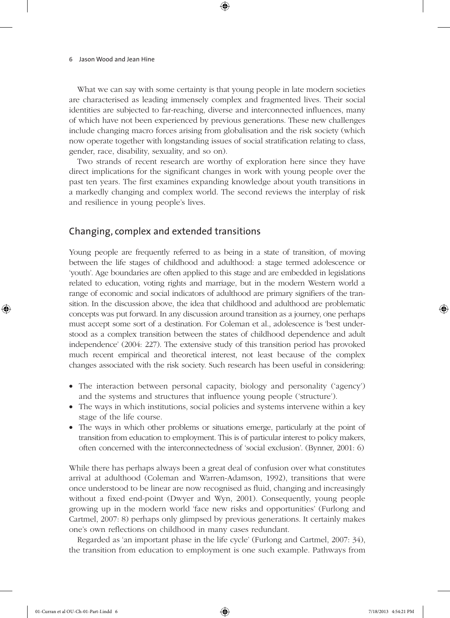What we can say with some certainty is that young people in late modern societies are characterised as leading immensely complex and fragmented lives. Their social identities are subjected to far-reaching, diverse and interconnected influences, many of which have not been experienced by previous generations. These new challenges include changing macro forces arising from globalisation and the risk society (which now operate together with longstanding issues of social stratification relating to class, gender, race, disability, sexuality, and so on).

 $\textcircled{\scriptsize{*}}$ 

Two strands of recent research are worthy of exploration here since they have direct implications for the significant changes in work with young people over the past ten years. The first examines expanding knowledge about youth transitions in a markedly changing and complex world. The second reviews the interplay of risk and resilience in young people's lives.

#### Changing, complex and extended transitions

Young people are frequently referred to as being in a state of transition, of moving between the life stages of childhood and adulthood: a stage termed adolescence or 'youth'. Age boundaries are often applied to this stage and are embedded in legislations related to education, voting rights and marriage, but in the modern Western world a range of economic and social indicators of adulthood are primary signifiers of the transition. In the discussion above, the idea that childhood and adulthood are problematic concepts was put forward. In any discussion around transition as a journey, one perhaps must accept some sort of a destination. For Coleman et al., adolescence is 'best understood as a complex transition between the states of childhood dependence and adult independence' (2004: 227). The extensive study of this transition period has provoked much recent empirical and theoretical interest, not least because of the complex changes associated with the risk society. Such research has been useful in considering:

- The interaction between personal capacity, biology and personality ('agency') and the systems and structures that influence young people ('structure').
- The ways in which institutions, social policies and systems intervene within a key stage of the life course.
- The ways in which other problems or situations emerge, particularly at the point of transition from education to employment. This is of particular interest to policy makers, often concerned with the interconnectedness of 'social exclusion'. (Bynner, 2001: 6)

While there has perhaps always been a great deal of confusion over what constitutes arrival at adulthood (Coleman and Warren-Adamson, 1992), transitions that were once understood to be linear are now recognised as fluid, changing and increasingly without a fixed end-point (Dwyer and Wyn, 2001). Consequently, young people growing up in the modern world 'face new risks and opportunities' (Furlong and Cartmel, 2007: 8) perhaps only glimpsed by previous generations. It certainly makes one's own reflections on childhood in many cases redundant.

Regarded as 'an important phase in the life cycle' (Furlong and Cartmel, 2007: 34), the transition from education to employment is one such example. Pathways from

01-Curran et al OU-Ch-01-Part-Lindd 6 7/18/2013 4:54:21 PM

♠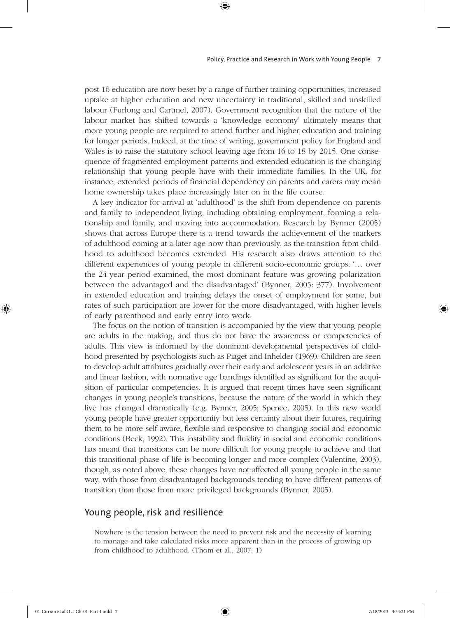post-16 education are now beset by a range of further training opportunities, increased uptake at higher education and new uncertainty in traditional, skilled and unskilled labour (Furlong and Cartmel, 2007). Government recognition that the nature of the labour market has shifted towards a 'knowledge economy' ultimately means that more young people are required to attend further and higher education and training for longer periods. Indeed, at the time of writing, government policy for England and Wales is to raise the statutory school leaving age from 16 to 18 by 2015. One consequence of fragmented employment patterns and extended education is the changing relationship that young people have with their immediate families. In the UK, for instance, extended periods of financial dependency on parents and carers may mean home ownership takes place increasingly later on in the life course.

⊕

A key indicator for arrival at 'adulthood' is the shift from dependence on parents and family to independent living, including obtaining employment, forming a relationship and family, and moving into accommodation. Research by Bynner (2005) shows that across Europe there is a trend towards the achievement of the markers of adulthood coming at a later age now than previously, as the transition from childhood to adulthood becomes extended. His research also draws attention to the different experiences of young people in different socio-economic groups: '… over the 24-year period examined, the most dominant feature was growing polarization between the advantaged and the disadvantaged' (Bynner, 2005: 377). Involvement in extended education and training delays the onset of employment for some, but rates of such participation are lower for the more disadvantaged, with higher levels of early parenthood and early entry into work.

The focus on the notion of transition is accompanied by the view that young people are adults in the making, and thus do not have the awareness or competencies of adults. This view is informed by the dominant developmental perspectives of childhood presented by psychologists such as Piaget and Inhelder (1969). Children are seen to develop adult attributes gradually over their early and adolescent years in an additive and linear fashion, with normative age bandings identified as significant for the acquisition of particular competencies. It is argued that recent times have seen significant changes in young people's transitions, because the nature of the world in which they live has changed dramatically (e.g. Bynner, 2005; Spence, 2005). In this new world young people have greater opportunity but less certainty about their futures, requiring them to be more self-aware, flexible and responsive to changing social and economic conditions (Beck, 1992). This instability and fluidity in social and economic conditions has meant that transitions can be more difficult for young people to achieve and that this transitional phase of life is becoming longer and more complex (Valentine, 2003), though, as noted above, these changes have not affected all young people in the same way, with those from disadvantaged backgrounds tending to have different patterns of transition than those from more privileged backgrounds (Bynner, 2005).

#### Young people, risk and resilience

Nowhere is the tension between the need to prevent risk and the necessity of learning to manage and take calculated risks more apparent than in the process of growing up from childhood to adulthood. (Thom et al., 2007: 1)

01-Curran et al OU-Ch-01-Part-Lindd 7 7/18/2013 4:54:21 PM

♠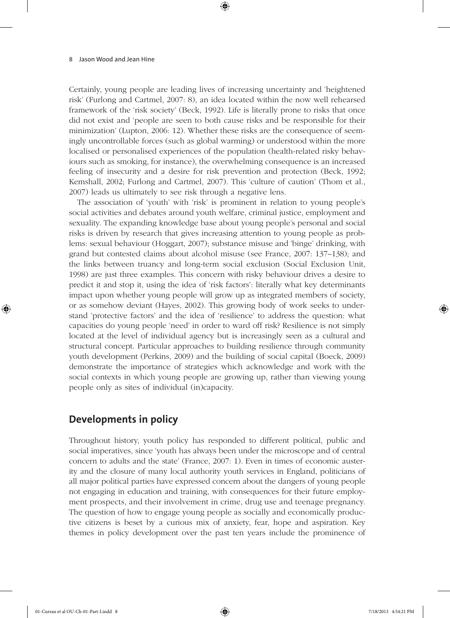Certainly, young people are leading lives of increasing uncertainty and 'heightened risk' (Furlong and Cartmel, 2007: 8), an idea located within the now well rehearsed framework of the 'risk society' (Beck, 1992). Life is literally prone to risks that once did not exist and 'people are seen to both cause risks and be responsible for their minimization' (Lupton, 2006: 12). Whether these risks are the consequence of seemingly uncontrollable forces (such as global warming) or understood within the more localised or personalised experiences of the population (health-related risky behaviours such as smoking, for instance), the overwhelming consequence is an increased feeling of insecurity and a desire for risk prevention and protection (Beck, 1992; Kemshall, 2002; Furlong and Cartmel, 2007). This 'culture of caution' (Thom et al., 2007) leads us ultimately to see risk through a negative lens.

⊕

The association of 'youth' with 'risk' is prominent in relation to young people's social activities and debates around youth welfare, criminal justice, employment and sexuality. The expanding knowledge base about young people's personal and social risks is driven by research that gives increasing attention to young people as problems: sexual behaviour (Hoggart, 2007); substance misuse and 'binge' drinking, with grand but contested claims about alcohol misuse (see France, 2007: 137–138); and the links between truancy and long-term social exclusion (Social Exclusion Unit, 1998) are just three examples. This concern with risky behaviour drives a desire to predict it and stop it, using the idea of 'risk factors': literally what key determinants impact upon whether young people will grow up as integrated members of society, or as somehow deviant (Hayes, 2002). This growing body of work seeks to understand 'protective factors' and the idea of 'resilience' to address the question: what capacities do young people 'need' in order to ward off risk? Resilience is not simply located at the level of individual agency but is increasingly seen as a cultural and structural concept. Particular approaches to building resilience through community youth development (Perkins, 2009) and the building of social capital (Boeck, 2009) demonstrate the importance of strategies which acknowledge and work with the social contexts in which young people are growing up, rather than viewing young people only as sites of individual (in)capacity.

#### **Developments in policy**

Throughout history, youth policy has responded to different political, public and social imperatives, since 'youth has always been under the microscope and of central concern to adults and the state' (France, 2007: 1). Even in times of economic austerity and the closure of many local authority youth services in England, politicians of all major political parties have expressed concern about the dangers of young people not engaging in education and training, with consequences for their future employment prospects, and their involvement in crime, drug use and teenage pregnancy. The question of how to engage young people as socially and economically productive citizens is beset by a curious mix of anxiety, fear, hope and aspiration. Key themes in policy development over the past ten years include the prominence of

♠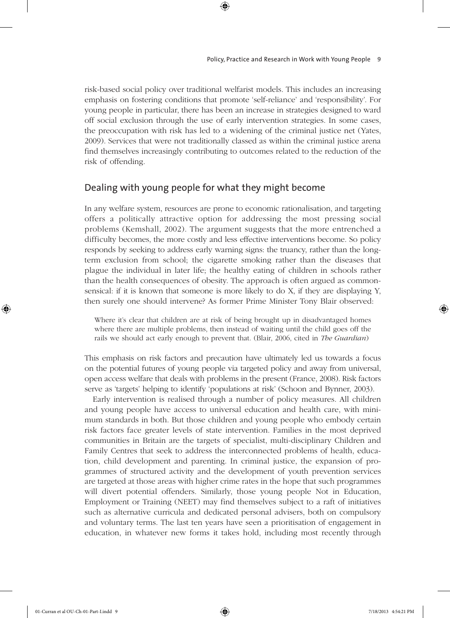risk-based social policy over traditional welfarist models. This includes an increasing emphasis on fostering conditions that promote 'self-reliance' and 'responsibility'. For young people in particular, there has been an increase in strategies designed to ward off social exclusion through the use of early intervention strategies. In some cases, the preoccupation with risk has led to a widening of the criminal justice net (Yates, 2009). Services that were not traditionally classed as within the criminal justice arena find themselves increasingly contributing to outcomes related to the reduction of the risk of offending.

⊕

#### Dealing with young people for what they might become

In any welfare system, resources are prone to economic rationalisation, and targeting offers a politically attractive option for addressing the most pressing social problems (Kemshall, 2002). The argument suggests that the more entrenched a difficulty becomes, the more costly and less effective interventions become. So policy responds by seeking to address early warning signs: the truancy, rather than the longterm exclusion from school; the cigarette smoking rather than the diseases that plague the individual in later life; the healthy eating of children in schools rather than the health consequences of obesity. The approach is often argued as commonsensical: if it is known that someone is more likely to do X, if they are displaying Y, then surely one should intervene? As former Prime Minister Tony Blair observed:

Where it's clear that children are at risk of being brought up in disadvantaged homes where there are multiple problems, then instead of waiting until the child goes off the rails we should act early enough to prevent that. (Blair, 2006, cited in *The Guardian*)

This emphasis on risk factors and precaution have ultimately led us towards a focus on the potential futures of young people via targeted policy and away from universal, open access welfare that deals with problems in the present (France, 2008). Risk factors serve as 'targets' helping to identify 'populations at risk' (Schoon and Bynner, 2003).

Early intervention is realised through a number of policy measures. All children and young people have access to universal education and health care, with minimum standards in both. But those children and young people who embody certain risk factors face greater levels of state intervention. Families in the most deprived communities in Britain are the targets of specialist, multi-disciplinary Children and Family Centres that seek to address the interconnected problems of health, education, child development and parenting. In criminal justice, the expansion of programmes of structured activity and the development of youth prevention services are targeted at those areas with higher crime rates in the hope that such programmes will divert potential offenders. Similarly, those young people Not in Education, Employment or Training (NEET) may find themselves subject to a raft of initiatives such as alternative curricula and dedicated personal advisers, both on compulsory and voluntary terms. The last ten years have seen a prioritisation of engagement in education, in whatever new forms it takes hold, including most recently through

♠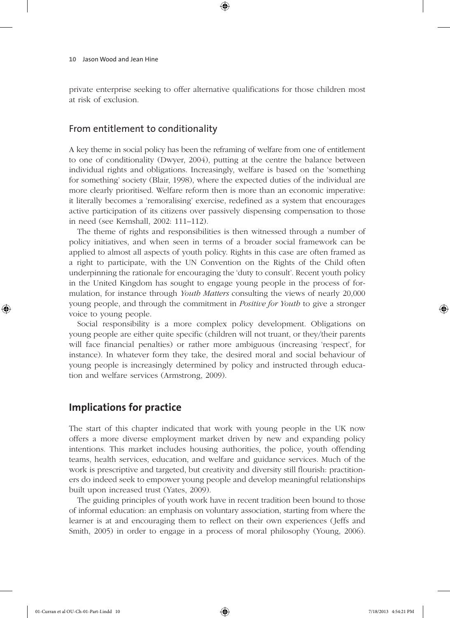private enterprise seeking to offer alternative qualifications for those children most at risk of exclusion.

⊕

#### From entitlement to conditionality

A key theme in social policy has been the reframing of welfare from one of entitlement to one of conditionality (Dwyer, 2004), putting at the centre the balance between individual rights and obligations. Increasingly, welfare is based on the 'something for something' society (Blair, 1998), where the expected duties of the individual are more clearly prioritised. Welfare reform then is more than an economic imperative: it literally becomes a 'remoralising' exercise, redefined as a system that encourages active participation of its citizens over passively dispensing compensation to those in need (see Kemshall, 2002: 111–112).

The theme of rights and responsibilities is then witnessed through a number of policy initiatives, and when seen in terms of a broader social framework can be applied to almost all aspects of youth policy. Rights in this case are often framed as a right to participate, with the UN Convention on the Rights of the Child often underpinning the rationale for encouraging the 'duty to consult'. Recent youth policy in the United Kingdom has sought to engage young people in the process of formulation, for instance through *Youth Matters* consulting the views of nearly 20,000 young people, and through the commitment in *Positive for Youth* to give a stronger voice to young people.

Social responsibility is a more complex policy development. Obligations on young people are either quite specific (children will not truant, or they/their parents will face financial penalties) or rather more ambiguous (increasing 'respect', for instance). In whatever form they take, the desired moral and social behaviour of young people is increasingly determined by policy and instructed through education and welfare services (Armstrong, 2009).

#### **Implications for practice**

The start of this chapter indicated that work with young people in the UK now offers a more diverse employment market driven by new and expanding policy intentions. This market includes housing authorities, the police, youth offending teams, health services, education, and welfare and guidance services. Much of the work is prescriptive and targeted, but creativity and diversity still flourish: practitioners do indeed seek to empower young people and develop meaningful relationships built upon increased trust (Yates, 2009).

The guiding principles of youth work have in recent tradition been bound to those of informal education: an emphasis on voluntary association, starting from where the learner is at and encouraging them to reflect on their own experiences (Jeffs and Smith, 2005) in order to engage in a process of moral philosophy (Young, 2006).

♠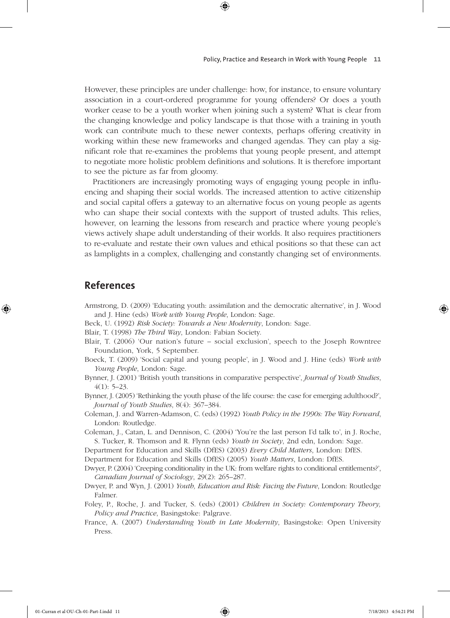However, these principles are under challenge: how, for instance, to ensure voluntary association in a court-ordered programme for young offenders? Or does a youth worker cease to be a youth worker when joining such a system? What is clear from the changing knowledge and policy landscape is that those with a training in youth work can contribute much to these newer contexts, perhaps offering creativity in working within these new frameworks and changed agendas. They can play a significant role that re-examines the problems that young people present, and attempt to negotiate more holistic problem definitions and solutions. It is therefore important to see the picture as far from gloomy.

⊕

Practitioners are increasingly promoting ways of engaging young people in influencing and shaping their social worlds. The increased attention to active citizenship and social capital offers a gateway to an alternative focus on young people as agents who can shape their social contexts with the support of trusted adults. This relies, however, on learning the lessons from research and practice where young people's views actively shape adult understanding of their worlds. It also requires practitioners to re-evaluate and restate their own values and ethical positions so that these can act as lamplights in a complex, challenging and constantly changing set of environments.

#### **References**

♠

- Armstrong, D. (2009) 'Educating youth: assimilation and the democratic alternative', in J. Wood and J. Hine (eds) *Work with Young People*, London: Sage.
- Beck, U. (1992) *Risk Society: Towards a New Modernity*, London: Sage.
- Blair, T. (1998) *The Third Way*, London: Fabian Society.
- Blair, T. (2006) 'Our nation's future social exclusion', speech to the Joseph Rowntree Foundation, York, 5 September.
- Boeck, T. (2009) 'Social capital and young people', in J. Wood and J. Hine (eds) *Work with Young People*, London: Sage.
- Bynner, J. (2001) 'British youth transitions in comparative perspective', *Journal of Youth Studies*, 4(1): 5–23.
- Bynner, J. (2005) 'Rethinking the youth phase of the life course: the case for emerging adulthood?', *Journal of Youth Studies*, 8(4): 367–384.
- Coleman, J. and Warren-Adamson, C. (eds) (1992) *Youth Policy in the 1990s: The Way Forward*, London: Routledge.
- Coleman, J., Catan, L. and Dennison, C. (2004) 'You're the last person I'd talk to', in J. Roche, S. Tucker, R. Thomson and R. Flynn (eds) *Youth in Society*, 2nd edn, London: Sage.
- Department for Education and Skills (DfES) (2003) *Every Child Matters*, London: DfES.
- Department for Education and Skills (DfES) (2005) *Youth Matters*, London: DfES.
- Dwyer, P. (2004) 'Creeping conditionality in the UK: from welfare rights to conditional entitlements?', *Canadian Journal of Sociology*, 29(2): 265–287.
- Dwyer, P. and Wyn, J. (2001) *Youth, Education and Risk: Facing the Future*, London: Routledge Falmer.
- Foley, P., Roche, J. and Tucker, S. (eds) (2001) *Children in Society: Contemporary Theory, Policy and Practice*, Basingstoke: Palgrave.
- France, A. (2007) *Understanding Youth in Late Modernity*, Basingstoke: Open University Press.